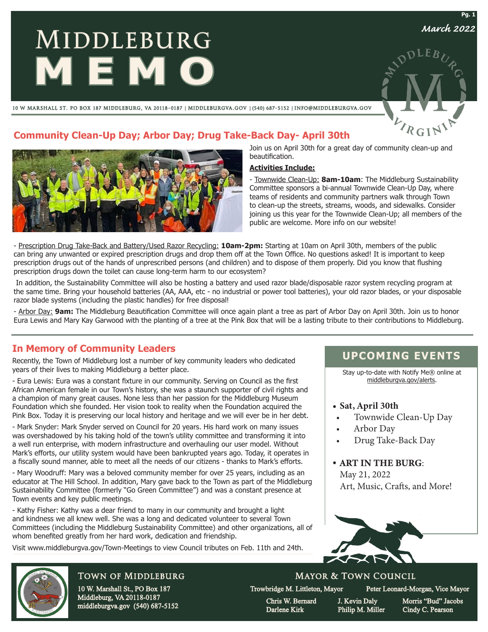# MIDDLEBURG **MEMO**

10 w marshall st. po box 187 middleburg, va 20118-0187 middleburgva.gov (540) 687-5152 info@middleburgva.gov

# **Community Clean-Up Day; Arbor Day; Drug Take-Back Day- April 30th**



Join us on April 30th for a great day of community clean-up and beautification.

#### **Activities Include:**

- Townwide Clean-Up: **8am-10am**: The Middleburg Sustainability Committee sponsors a bi-annual Townwide Clean-Up Day, where teams of residents and community partners walk through Town to clean-up the streets, streams, woods, and sidewalks. Consider joining us this year for the Townwide Clean-Up; all members of the public are welcome. More info on our website!

- Prescription Drug Take-Back and Battery/Used Razor Recycling: **10am-2pm:** Starting at 10am on April 30th, members of the public can bring any unwanted or expired prescription drugs and drop them off at the Town Office. No questions asked! It is important to keep prescription drugs out of the hands of unprescribed persons (and children) and to dispose of them properly. Did you know that flushing prescription drugs down the toilet can cause long-term harm to our ecosystem?

 In addition, the Sustainability Committee will also be hosting a battery and used razor blade/disposable razor system recycling program at the same time. Bring your household batteries (AA, AAA, etc - no industrial or power tool batteries), your old razor blades, or your disposable razor blade systems (including the plastic handles) for free disposal!

- Arbor Day: **9am:** The Middleburg Beautification Committee will once again plant a tree as part of Arbor Day on April 30th. Join us to honor Eura Lewis and Mary Kay Garwood with the planting of a tree at the Pink Box that will be a lasting tribute to their contributions to Middleburg.

# **In Memory of Community Leaders**

Recently, the Town of Middleburg lost a number of key community leaders who dedicated years of their lives to making Middleburg a better place.

- Eura Lewis: Eura was a constant fixture in our community. Serving on Council as the first African American female in our Town's history, she was a staunch supporter of civil rights and a champion of many great causes. None less than her passion for the Middleburg Museum Foundation which she founded. Her vision took to reality when the Foundation acquired the Pink Box. Today it is preserving our local history and heritage and we will ever be in her debt.

- Mark Snyder: Mark Snyder served on Council for 20 years. His hard work on many issues was overshadowed by his taking hold of the town's utility committee and transforming it into a well run enterprise, with modern infrastructure and overhauling our user model. Without Mark's efforts, our utility system would have been bankrupted years ago. Today, it operates in a fiscally sound manner, able to meet all the needs of our citizens - thanks to Mark's efforts.

- Mary Woodruff: Mary was a beloved community member for over 25 years, including as an educator at The Hill School. In addition, Mary gave back to the Town as part of the Middleburg Sustainability Committee (formerly "Go Green Committee") and was a constant presence at Town events and key public meetings.

- Kathy Fisher: Kathy was a dear friend to many in our community and brought a light and kindness we all knew well. She was a long and dedicated volunteer to several Town Committees (including the Middleburg Sustainability Committee) and other organizations, all of whom benefited greatly from her hard work, dedication and friendship.

Visit www.middleburgva.gov/Town-Meetings to view Council tributes on Feb. 11th and 24th.

# **UPCOMING EVENTS**

*March 2022*

**Pg. 1**

Stay up-to-date with Notify Me® online at middleburgva.gov/alerts.

#### • Sat, April 30th

- Townwide Clean-Up Day
- Arbor Day
- Drug Take-Back Day

## • ART IN THE BURG:

May 21, 2022 Art, Music, Crafts, and More!



# Mayor & Town Council

Trowbridge M. Littleton, Mayor Peter Leonard-Morgan, Vice Mayor

Chris W. Bernard J. Kevin Daly Morris "Bud" Jacobs

Darlene Kirk Philip M. Miller Cindy C. Pearson



# Town of Middleburg

10 W. Marshall St., PO Box 187 Middleburg, VA 20118-0187 middleburgva.gov (540) 687-5152